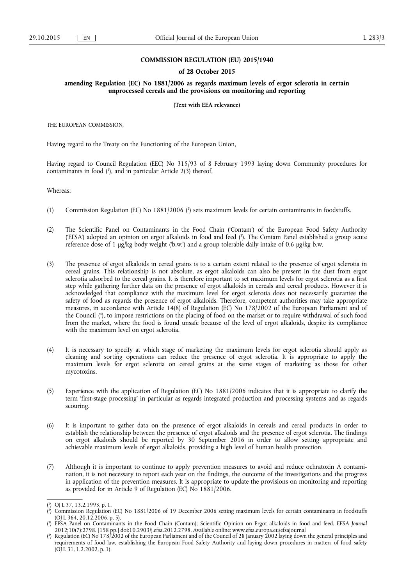# **COMMISSION REGULATION (EU) 2015/1940**

#### **of 28 October 2015**

# **amending Regulation (EC) No 1881/2006 as regards maximum levels of ergot sclerotia in certain unprocessed cereals and the provisions on monitoring and reporting**

### **(Text with EEA relevance)**

THE EUROPEAN COMMISSION,

Having regard to the Treaty on the Functioning of the European Union,

Having regard to Council Regulation (EEC) No 315/93 of 8 February 1993 laying down Community procedures for contaminants in food ( 1 ), and in particular Article 2(3) thereof,

Whereas:

- (1) Commission Regulation (EC) No 1881/2006 ( 2 ) sets maximum levels for certain contaminants in foodstuffs.
- (2) The Scientific Panel on Contaminants in the Food Chain ('Contam') of the European Food Safety Authority ('EFSA') adopted an opinion on ergot alkaloids in food and feed ( 3 ). The Contam Panel established a group acute reference dose of 1 μg/kg body weight ('b.w.') and a group tolerable daily intake of 0,6 μg/kg b.w.
- (3) The presence of ergot alkaloids in cereal grains is to a certain extent related to the presence of ergot sclerotia in cereal grains. This relationship is not absolute, as ergot alkaloids can also be present in the dust from ergot sclerotia adsorbed to the cereal grains. It is therefore important to set maximum levels for ergot sclerotia as a first step while gathering further data on the presence of ergot alkaloids in cereals and cereal products. However it is acknowledged that compliance with the maximum level for ergot sclerotia does not necessarily guarantee the safety of food as regards the presence of ergot alkaloids. Therefore, competent authorities may take appropriate measures, in accordance with Article 14(8) of Regulation (EC) No 178/2002 of the European Parliament and of the Council ( 4 ), to impose restrictions on the placing of food on the market or to require withdrawal of such food from the market, where the food is found unsafe because of the level of ergot alkaloids, despite its compliance with the maximum level on ergot sclerotia.
- (4) It is necessary to specify at which stage of marketing the maximum levels for ergot sclerotia should apply as cleaning and sorting operations can reduce the presence of ergot sclerotia. It is appropriate to apply the maximum levels for ergot sclerotia on cereal grains at the same stages of marketing as those for other mycotoxins.
- (5) Experience with the application of Regulation (EC) No 1881/2006 indicates that it is appropriate to clarify the term 'first-stage processing' in particular as regards integrated production and processing systems and as regards scouring.
- (6) It is important to gather data on the presence of ergot alkaloids in cereals and cereal products in order to establish the relationship between the presence of ergot alkaloids and the presence of ergot sclerotia. The findings on ergot alkaloids should be reported by 30 September 2016 in order to allow setting appropriate and achievable maximum levels of ergot alkaloids, providing a high level of human health protection.
- (7) Although it is important to continue to apply prevention measures to avoid and reduce ochratoxin A contamination, it is not necessary to report each year on the findings, the outcome of the investigations and the progress in application of the prevention measures. It is appropriate to update the provisions on monitoring and reporting as provided for in Article 9 of Regulation (EC) No 1881/2006.

<sup>(</sup> 1 ) OJ L 37, 13.2.1993, p. 1.

<sup>(</sup> 2 ) Commission Regulation (EC) No 1881/2006 of 19 December 2006 setting maximum levels for certain contaminants in foodstuffs (OJ L 364, 20.12.2006, p. 5).

<sup>(</sup> 3 ) EFSA Panel on Contaminants in the Food Chain (Contam); Scientific Opinion on Ergot alkaloids in food and feed. *EFSA Journal*  2012;10(7):2798. [158 pp.] doi:10.2903/j.efsa.2012.2798. Available online: [www.efsa.europa.eu/efsajournal](http://www.efsa.europa.eu/efsajournal) 

<sup>(</sup> 4 ) Regulation (EC) No 178/2002 of the European Parliament and of the Council of 28 January 2002 laying down the general principles and requirements of food law, establishing the European Food Safety Authority and laying down procedures in matters of food safety (OJ L 31, 1.2.2002, p. 1).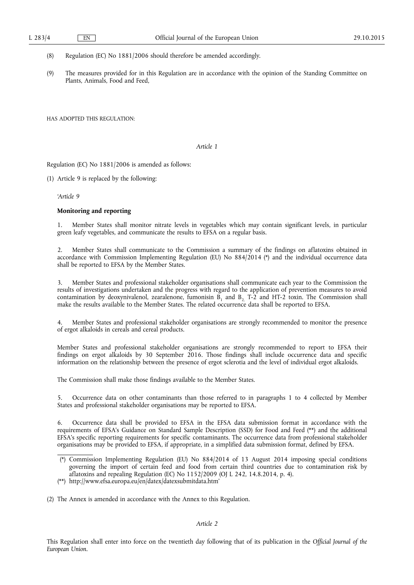(8) Regulation (EC) No 1881/2006 should therefore be amended accordingly.

(9) The measures provided for in this Regulation are in accordance with the opinion of the Standing Committee on Plants, Animals, Food and Feed.

HAS ADOPTED THIS REGULATION:

### *Article 1*

Regulation (EC) No 1881/2006 is amended as follows:

(1) Article 9 is replaced by the following:

*'Article 9* 

# **Monitoring and reporting**

1. Member States shall monitor nitrate levels in vegetables which may contain significant levels, in particular green leafy vegetables, and communicate the results to EFSA on a regular basis.

2. Member States shall communicate to the Commission a summary of the findings on aflatoxins obtained in accordance with Commission Implementing Regulation (EU) No 884/2014 (\*) and the individual occurrence data shall be reported to EFSA by the Member States.

3. Member States and professional stakeholder organisations shall communicate each year to the Commission the results of investigations undertaken and the progress with regard to the application of prevention measures to avoid contamination by deoxynivalenol, zearalenone, fumonisin  $B_1$  and  $B_2$  T-2 and HT-2 toxin. The Commission shall make the results available to the Member States. The related occurrence data shall be reported to EFSA.

Member States and professional stakeholder organisations are strongly recommended to monitor the presence of ergot alkaloids in cereals and cereal products.

Member States and professional stakeholder organisations are strongly recommended to report to EFSA their findings on ergot alkaloids by 30 September 2016. Those findings shall include occurrence data and specific information on the relationship between the presence of ergot sclerotia and the level of individual ergot alkaloids.

The Commission shall make those findings available to the Member States.

5. Occurrence data on other contaminants than those referred to in paragraphs 1 to 4 collected by Member States and professional stakeholder organisations may be reported to EFSA.

6. Occurrence data shall be provided to EFSA in the EFSA data submission format in accordance with the requirements of EFSA's Guidance on Standard Sample Description (SSD) for Food and Feed (\*\*) and the additional EFSA's specific reporting requirements for specific contaminants. The occurrence data from professional stakeholder organisations may be provided to EFSA, if appropriate, in a simplified data submission format, defined by EFSA.

(2) The Annex is amended in accordance with the Annex to this Regulation.

## *Article 2*

This Regulation shall enter into force on the twentieth day following that of its publication in the *Official Journal of the European Union.* 

<sup>(\*)</sup> Commission Implementing Regulation (EU) No 884/2014 of 13 August 2014 imposing special conditions governing the import of certain feed and food from certain third countries due to contamination risk by aflatoxins and repealing Regulation (EC) No 1152/2009 (OJ L 242, 14.8.2014, p. 4).

<sup>(\*\*)</sup> http://www.efsa.europa.eu/en/datex/datexsubmitdata.htm'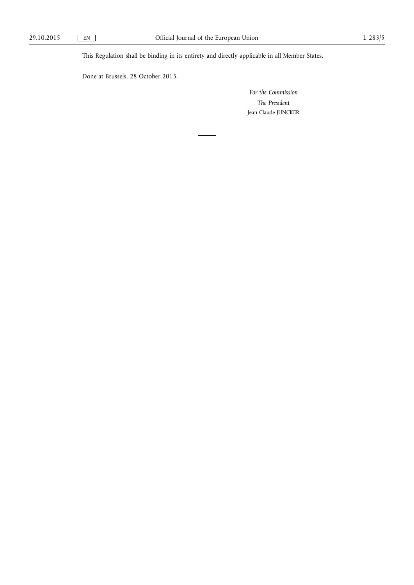This Regulation shall be binding in its entirety and directly applicable in all Member States.

Done at Brussels, 28 October 2015.

*For the Commission The President*  Jean-Claude JUNCKER